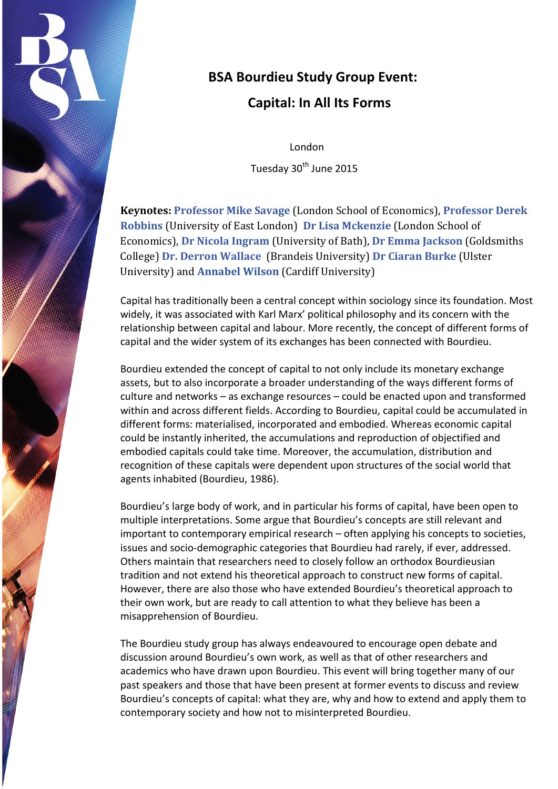

# **BSA Bourdieu Study Group Event:**

# **Capital: In All Its Forms**

 London Tuesday 30<sup>th</sup> June 2015

**Keynotes: [Professor Mike Savage](http://www.lse.ac.uk/sociology/whoswho/academic/savage.aspx)** (London School of Economics), **[Professor Derek](http://www.uel.ac.uk/lss/staff/derekrobbins/)  [Robbins](http://www.uel.ac.uk/lss/staff/derekrobbins/)** (University of East London) **[Dr Lisa Mckenzie](http://www.lse.ac.uk/researchAndExpertise/Experts/profile.aspx?KeyValue=l.l.mckenzie@lse.ac.uk)** (London School of Economics), **[Dr Nicola Ingram](http://www.bath.ac.uk/sps/staff/nicola-ingram/index.html)** (University of Bath), **[Dr Emma Jackson](http://www.gold.ac.uk/sociology/staff/academicstaff/jacksonemma/)** (Goldsmiths College) **[Dr. Derron Wallace](http://www.brandeis.edu/facultyguide/person.html?emplid=6fe4e671a89274274df2b8d17b57b7c41a337668)** (Brandeis University) **[Dr Ciaran Burke](http://www.ulster.ac.uk/staff/c.burke.html)** (Ulster University) and **[Annabel Wilson](http://www.walesdtc.ac.uk/profiles/pathway/education/#wilson-annabel)** (Cardiff University)

Capital has traditionally been a central concept within sociology since its foundation. Most widely, it was associated with Karl Marx' political philosophy and its concern with the relationship between capital and labour. More recently, the concept of different forms of capital and the wider system of its exchanges has been connected with Bourdieu.

Bourdieu extended the concept of capital to not only include its monetary exchange assets, but to also incorporate a broader understanding of the ways different forms of culture and networks – as exchange resources – could be enacted upon and transformed within and across different fields. According to Bourdieu, capital could be accumulated in different forms: materialised, incorporated and embodied. Whereas economic capital could be instantly inherited, the accumulations and reproduction of objectified and embodied capitals could take time. Moreover, the accumulation, distribution and recognition of these capitals were dependent upon structures of the social world that agents inhabited (Bourdieu, 1986).

Bourdieu's large body of work, and in particular his forms of capital, have been open to multiple interpretations. Some argue that Bourdieu's concepts are still relevant and important to contemporary empirical research – often applying his concepts to societies, issues and socio-demographic categories that Bourdieu had rarely, if ever, addressed. Others maintain that researchers need to closely follow an orthodox Bourdieusian tradition and not extend his theoretical approach to construct new forms of capital. However, there are also those who have extended Bourdieu's theoretical approach to their own work, but are ready to call attention to what they believe has been a misapprehension of Bourdieu.

The Bourdieu study group has always endeavoured to encourage open debate and discussion around Bourdieu's own work, as well as that of other researchers and academics who have drawn upon Bourdieu. This event will bring together many of our past speakers and those that have been present at former events to discuss and review Bourdieu's concepts of capital: what they are, why and how to extend and apply them to contemporary society and how not to misinterpreted Bourdieu.